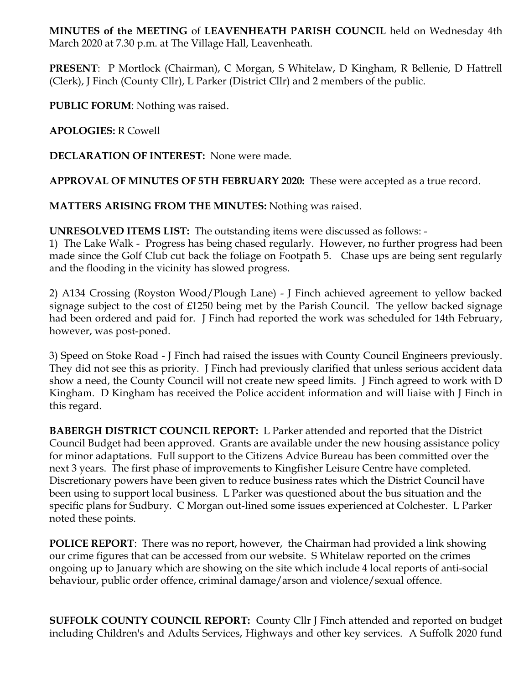**MINUTES of the MEETING** of **LEAVENHEATH PARISH COUNCIL** held on Wednesday 4th March 2020 at 7.30 p.m. at The Village Hall, Leavenheath.

**PRESENT**: P Mortlock (Chairman), C Morgan, S Whitelaw, D Kingham, R Bellenie, D Hattrell (Clerk), J Finch (County Cllr), L Parker (District Cllr) and 2 members of the public.

**PUBLIC FORUM**: Nothing was raised.

**APOLOGIES:** R Cowell

**DECLARATION OF INTEREST:** None were made.

**APPROVAL OF MINUTES OF 5TH FEBRUARY 2020:** These were accepted as a true record.

**MATTERS ARISING FROM THE MINUTES:** Nothing was raised.

**UNRESOLVED ITEMS LIST:** The outstanding items were discussed as follows: -

1) The Lake Walk - Progress has being chased regularly. However, no further progress had been made since the Golf Club cut back the foliage on Footpath 5. Chase ups are being sent regularly and the flooding in the vicinity has slowed progress.

2) A134 Crossing (Royston Wood/Plough Lane) - J Finch achieved agreement to yellow backed signage subject to the cost of £1250 being met by the Parish Council. The yellow backed signage had been ordered and paid for. J Finch had reported the work was scheduled for 14th February, however, was post-poned.

3) Speed on Stoke Road - J Finch had raised the issues with County Council Engineers previously. They did not see this as priority. J Finch had previously clarified that unless serious accident data show a need, the County Council will not create new speed limits. J Finch agreed to work with D Kingham. D Kingham has received the Police accident information and will liaise with J Finch in this regard.

**BABERGH DISTRICT COUNCIL REPORT:** L Parker attended and reported that the District Council Budget had been approved. Grants are available under the new housing assistance policy for minor adaptations. Full support to the Citizens Advice Bureau has been committed over the next 3 years. The first phase of improvements to Kingfisher Leisure Centre have completed. Discretionary powers have been given to reduce business rates which the District Council have been using to support local business. L Parker was questioned about the bus situation and the specific plans for Sudbury. C Morgan out-lined some issues experienced at Colchester. L Parker noted these points.

**POLICE REPORT**: There was no report, however, the Chairman had provided a link showing our crime figures that can be accessed from our website. S Whitelaw reported on the crimes ongoing up to January which are showing on the site which include 4 local reports of anti-social behaviour, public order offence, criminal damage/arson and violence/sexual offence.

**SUFFOLK COUNTY COUNCIL REPORT:** County Cllr J Finch attended and reported on budget including Children's and Adults Services, Highways and other key services. A Suffolk 2020 fund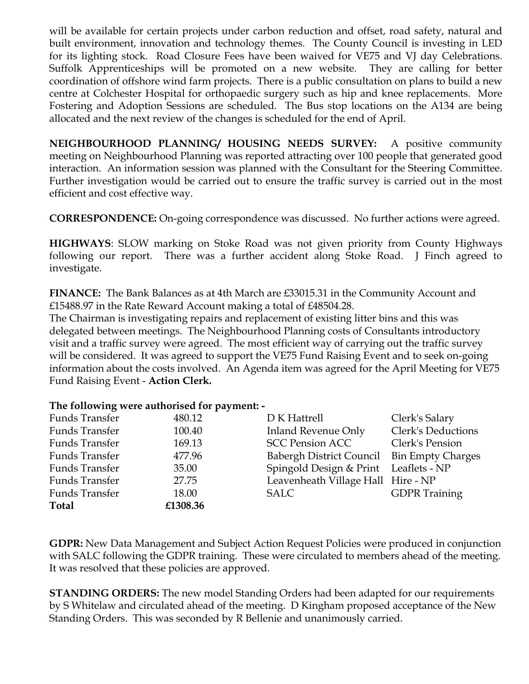will be available for certain projects under carbon reduction and offset, road safety, natural and built environment, innovation and technology themes. The County Council is investing in LED for its lighting stock. Road Closure Fees have been waived for VE75 and VJ day Celebrations. Suffolk Apprenticeships will be promoted on a new website. They are calling for better coordination of offshore wind farm projects. There is a public consultation on plans to build a new centre at Colchester Hospital for orthopaedic surgery such as hip and knee replacements. More Fostering and Adoption Sessions are scheduled. The Bus stop locations on the A134 are being allocated and the next review of the changes is scheduled for the end of April.

**NEIGHBOURHOOD PLANNING/ HOUSING NEEDS SURVEY:** A positive community meeting on Neighbourhood Planning was reported attracting over 100 people that generated good interaction. An information session was planned with the Consultant for the Steering Committee. Further investigation would be carried out to ensure the traffic survey is carried out in the most efficient and cost effective way.

**CORRESPONDENCE:** On-going correspondence was discussed. No further actions were agreed.

**HIGHWAYS**: SLOW marking on Stoke Road was not given priority from County Highways following our report. There was a further accident along Stoke Road. J Finch agreed to investigate.

**FINANCE:** The Bank Balances as at 4th March are £33015.31 in the Community Account and £15488.97 in the Rate Reward Account making a total of £48504.28.

The Chairman is investigating repairs and replacement of existing litter bins and this was delegated between meetings. The Neighbourhood Planning costs of Consultants introductory visit and a traffic survey were agreed. The most efficient way of carrying out the traffic survey will be considered. It was agreed to support the VE75 Fund Raising Event and to seek on-going information about the costs involved. An Agenda item was agreed for the April Meeting for VE75 Fund Raising Event - **Action Clerk.**

## **The following were authorised for payment: -**

| <b>Funds Transfer</b> | 480.12   | D K Hattrell                               | Clerk's Salary       |
|-----------------------|----------|--------------------------------------------|----------------------|
| <b>Funds Transfer</b> | 100.40   | <b>Inland Revenue Only</b>                 | Clerk's Deductions   |
| <b>Funds Transfer</b> | 169.13   | <b>SCC Pension ACC</b>                     | Clerk's Pension      |
| <b>Funds Transfer</b> | 477.96   | Babergh District Council Bin Empty Charges |                      |
| <b>Funds Transfer</b> | 35.00    | Spingold Design & Print Leaflets - NP      |                      |
| <b>Funds Transfer</b> | 27.75    | Leavenheath Village Hall Hire - NP         |                      |
| <b>Funds Transfer</b> | 18.00    | <b>SALC</b>                                | <b>GDPR</b> Training |
| <b>Total</b>          | £1308.36 |                                            |                      |

**GDPR:** New Data Management and Subject Action Request Policies were produced in conjunction with SALC following the GDPR training. These were circulated to members ahead of the meeting. It was resolved that these policies are approved.

**STANDING ORDERS:** The new model Standing Orders had been adapted for our requirements by S Whitelaw and circulated ahead of the meeting. D Kingham proposed acceptance of the New Standing Orders. This was seconded by R Bellenie and unanimously carried.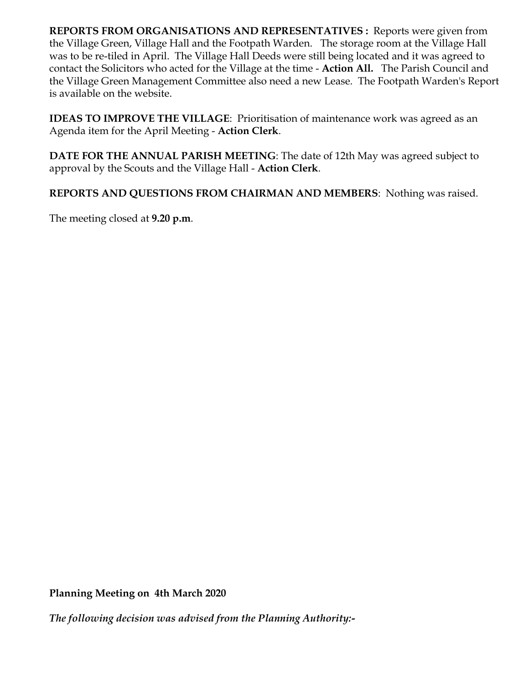**REPORTS FROM ORGANISATIONS AND REPRESENTATIVES :** Reports were given from the Village Green, Village Hall and the Footpath Warden. The storage room at the Village Hall was to be re-tiled in April. The Village Hall Deeds were still being located and it was agreed to contact the Solicitors who acted for the Village at the time - **Action All.** The Parish Council and the Village Green Management Committee also need a new Lease. The Footpath Warden's Report is available on the website.

**IDEAS TO IMPROVE THE VILLAGE**: Prioritisation of maintenance work was agreed as an Agenda item for the April Meeting - **Action Clerk**.

**DATE FOR THE ANNUAL PARISH MEETING**: The date of 12th May was agreed subject to approval by the Scouts and the Village Hall - **Action Clerk**.

**REPORTS AND QUESTIONS FROM CHAIRMAN AND MEMBERS**: Nothing was raised.

The meeting closed at **9.20 p.m**.

**Planning Meeting on 4th March 2020**

*The following decision was advised from the Planning Authority:-*